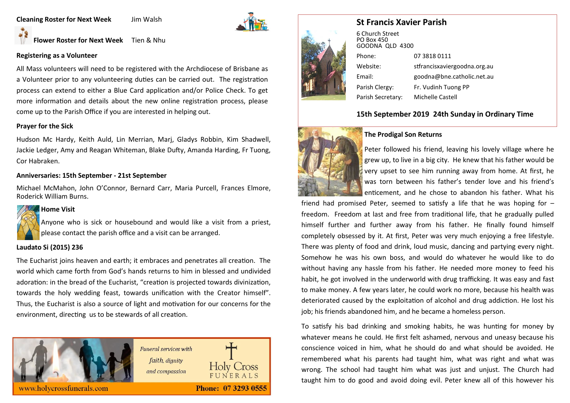#### **Cleaning Roster for Next Week** Jim Walsh



# **Flower Roster for Next Week** Tien & Nhu

#### **Registering as a Volunteer**

All Mass volunteers will need to be registered with the Archdiocese of Brisbane as a Volunteer prior to any volunteering duties can be carried out. The registration process can extend to either a Blue Card application and/or Police Check. To get more information and details about the new online registration process, please come up to the Parish Office if you are interested in helping out.

#### **Prayer for the Sick**

Hudson Mc Hardy, Keith Auld, Lin Merrian, Marj, Gladys Robbin, Kim Shadwell, Jackie Ledger, Amy and Reagan Whiteman, Blake Dufty, Amanda Harding, Fr Tuong, Cor Habraken.

#### **Anniversaries: 15th September - 21st September**

Michael McMahon, John O'Connor, Bernard Carr, Maria Purcell, Frances Elmore, Roderick William Burns.



#### **Home Visit**

Anyone who is sick or housebound and would like a visit from a priest, please contact the parish office and a visit can be arranged.

#### **Laudato Si (2015) 236**

The Eucharist joins heaven and earth; it embraces and penetrates all creation. The world which came forth from God's hands returns to him in blessed and undivided adoration: in the bread of the Eucharist, "creation is projected towards divinization, towards the holy wedding feast, towards unification with the Creator himself". Thus, the Eucharist is also a source of light and motivation for our concerns for the environment, directing us to be stewards of all creation.



# **St Francis Xavier Parish**



6 Church Street PO Box 450 GOODNA QLD 4300 Phone: 07 3818 0111 Website: stfrancisxaviergoodna.org.au Email: goodna@bne.catholic.net.au Parish Clergy: Fr. Vudinh Tuong PP Parish Secretary: Michelle Castell

# **15th September 2019 24th Sunday in Ordinary Time**



#### **The Prodigal Son Returns**

Peter followed his friend, leaving his lovely village where he grew up, to live in a big city. He knew that his father would be very upset to see him running away from home. At first, he was torn between his father's tender love and his friend's enticement, and he chose to abandon his father. What his

friend had promised Peter, seemed to satisfy a life that he was hoping for – freedom. Freedom at last and free from traditional life, that he gradually pulled himself further and further away from his father. He finally found himself completely obsessed by it. At first, Peter was very much enjoying a free lifestyle. There was plenty of food and drink, loud music, dancing and partying every night. Somehow he was his own boss, and would do whatever he would like to do without having any hassle from his father. He needed more money to feed his habit, he got involved in the underworld with drug trafficking. It was easy and fast to make money. A few years later, he could work no more, because his health was deteriorated caused by the exploitation of alcohol and drug addiction. He lost his job; his friends abandoned him, and he became a homeless person.

To satisfy his bad drinking and smoking habits, he was hunting for money by whatever means he could. He first felt ashamed, nervous and uneasy because his conscience voiced in him, what he should do and what should be avoided. He remembered what his parents had taught him, what was right and what was wrong. The school had taught him what was just and unjust. The Church had taught him to do good and avoid doing evil. Peter knew all of this however his